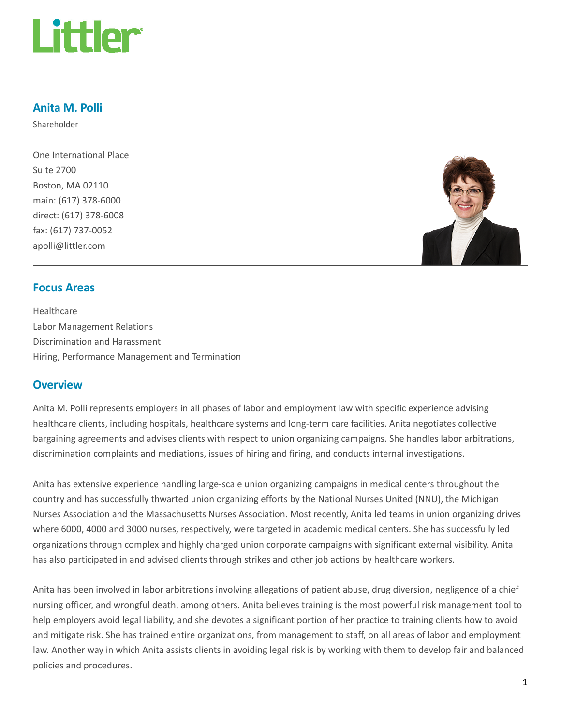

#### Anita M. Polli

Shareholder

One International Place Suite 2700 Boston, MA 02110 main: (617) 378-6000 direct: (617) 378-6008 fax: (617) 737-0052 apolli@littler.com



#### Focus Areas

Healthcare Labor Management Relations Discrimination and Harassment Hiring, Performance Management and Termination

#### **Overview**

Anita M. Polli represents employers in all phases of labor and employment law with specific experience advising healthcare clients, including hospitals, healthcare systems and long-term care facilities. Anita negotiates collective bargaining agreements and advises clients with respect to union organizing campaigns. She handles labor arbitrations, discrimination complaints and mediations, issues of hiring and firing, and conducts internal investigations.

Anita has extensive experience handling large-scale union organizing campaigns in medical centers throughout the country and has successfully thwarted union organizing efforts by the National Nurses United (NNU), the Michigan Nurses Association and the Massachusetts Nurses Association. Most recently, Anita led teams in union organizing drives where 6000, 4000 and 3000 nurses, respectively, were targeted in academic medical centers. She has successfully led organizations through complex and highly charged union corporate campaigns with significant external visibility. Anita has also participated in and advised clients through strikes and other job actions by healthcare workers.

Anita has been involved in labor arbitrations involving allegations of patient abuse, drug diversion, negligence of a chief nursing officer, and wrongful death, among others. Anita believes training is the most powerful risk management tool to help employers avoid legal liability, and she devotes a significant portion of her practice to training clients how to avoid and mitigate risk. She has trained entire organizations, from management to staff, on all areas of labor and employment law. Another way in which Anita assists clients in avoiding legal risk is by working with them to develop fair and balanced policies and procedures.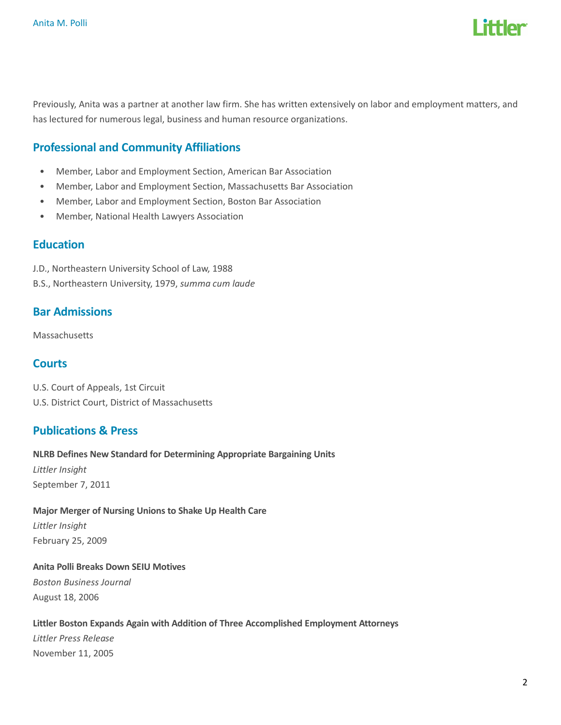

Previously, Anita was a partner at another law firm. She has written extensively on labor and employment matters, and has lectured for numerous legal, business and human resource organizations.

# Professional and Community Affiliations

- Member, Labor and Employment Section, American Bar Association
- Member, Labor and Employment Section, Massachusetts Bar Association
- Member, Labor and Employment Section, Boston Bar Association
- Member, National Health Lawyers Association

#### Education

- J.D., Northeastern University School of Law, 1988
- B.S., Northeastern University, 1979, summa cum laude

#### Bar Admissions

Massachusetts

#### **Courts**

U.S. Court of Appeals, 1st Circuit U.S. District Court, District of Massachusetts

#### Publications & Press

#### NLRB Defines New Standard for Determining Appropriate Bargaining Units

Littler Insight September 7, 2011

## Major Merger of Nursing Unions to Shake Up Health Care Littler Insight February 25, 2009

## Anita Polli Breaks Down SEIU Motives Boston Business Journal August 18, 2006

#### Littler Boston Expands Again with Addition of Three Accomplished Employment Attorneys

Littler Press Release November 11, 2005